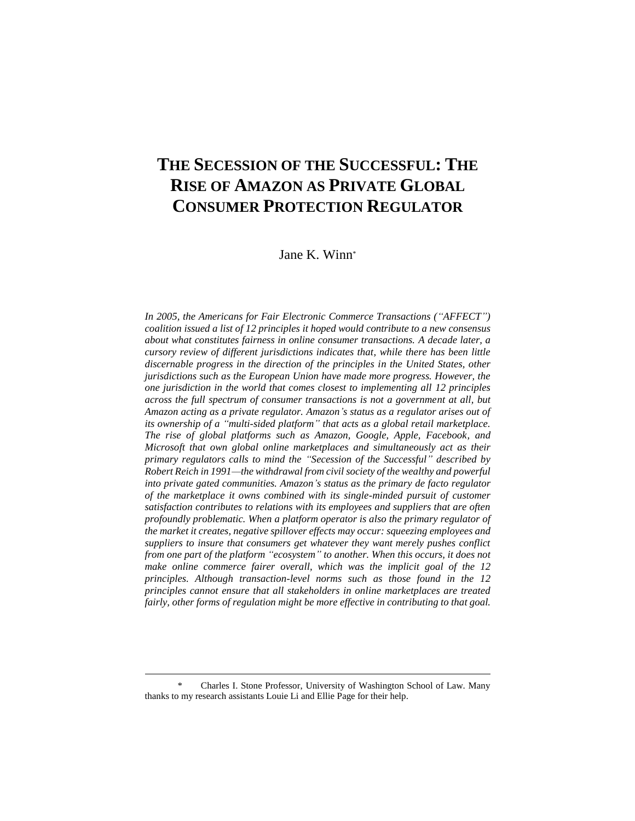# **THE SECESSION OF THE SUCCESSFUL: THE RISE OF AMAZON AS PRIVATE GLOBAL CONSUMER PROTECTION REGULATOR**

Jane K. Winn\*

*In 2005, the Americans for Fair Electronic Commerce Transactions ("AFFECT") coalition issued a list of 12 principles it hoped would contribute to a new consensus about what constitutes fairness in online consumer transactions. A decade later, a cursory review of different jurisdictions indicates that, while there has been little discernable progress in the direction of the principles in the United States, other jurisdictions such as the European Union have made more progress. However, the one jurisdiction in the world that comes closest to implementing all 12 principles across the full spectrum of consumer transactions is not a government at all, but Amazon acting as a private regulator. Amazon's status as a regulator arises out of its ownership of a "multi-sided platform" that acts as a global retail marketplace. The rise of global platforms such as Amazon, Google, Apple, Facebook, and Microsoft that own global online marketplaces and simultaneously act as their primary regulators calls to mind the "Secession of the Successful" described by Robert Reich in 1991—the withdrawal from civil society of the wealthy and powerful into private gated communities. Amazon's status as the primary de facto regulator of the marketplace it owns combined with its single-minded pursuit of customer satisfaction contributes to relations with its employees and suppliers that are often profoundly problematic. When a platform operator is also the primary regulator of the market it creates, negative spillover effects may occur: squeezing employees and suppliers to insure that consumers get whatever they want merely pushes conflict from one part of the platform "ecosystem" to another. When this occurs, it does not make online commerce fairer overall, which was the implicit goal of the 12 principles. Although transaction-level norms such as those found in the 12 principles cannot ensure that all stakeholders in online marketplaces are treated fairly, other forms of regulation might be more effective in contributing to that goal.*

Charles I. Stone Professor, University of Washington School of Law. Many thanks to my research assistants Louie Li and Ellie Page for their help.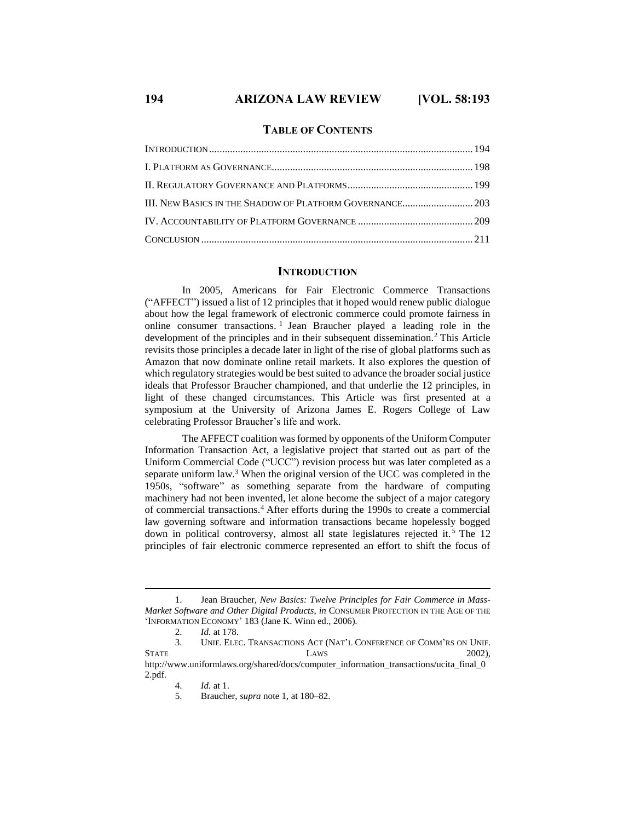#### **TABLE OF CONTENTS**

### **INTRODUCTION**

In 2005, Americans for Fair Electronic Commerce Transactions ("AFFECT") issued a list of 12 principles that it hoped would renew public dialogue about how the legal framework of electronic commerce could promote fairness in online consumer transactions. 1 Jean Braucher played a leading role in the development of the principles and in their subsequent dissemination.<sup>2</sup> This Article revisits those principles a decade later in light of the rise of global platforms such as Amazon that now dominate online retail markets. It also explores the question of which regulatory strategies would be best suited to advance the broader social justice ideals that Professor Braucher championed, and that underlie the 12 principles, in light of these changed circumstances. This Article was first presented at a symposium at the University of Arizona James E. Rogers College of Law celebrating Professor Braucher's life and work.

The AFFECT coalition was formed by opponents of the Uniform Computer Information Transaction Act, a legislative project that started out as part of the Uniform Commercial Code ("UCC") revision process but was later completed as a separate uniform law.<sup>3</sup> When the original version of the UCC was completed in the 1950s, "software" as something separate from the hardware of computing machinery had not been invented, let alone become the subject of a major category of commercial transactions.<sup>4</sup> After efforts during the 1990s to create a commercial law governing software and information transactions became hopelessly bogged down in political controversy, almost all state legislatures rejected it. <sup>5</sup> The 12 principles of fair electronic commerce represented an effort to shift the focus of

<sup>1.</sup> Jean Braucher, *New Basics: Twelve Principles for Fair Commerce in Mass-Market Software and Other Digital Products*, *in* CONSUMER PROTECTION IN THE AGE OF THE 'INFORMATION ECONOMY' 183 (Jane K. Winn ed., 2006).

<sup>2.</sup> *Id.* at 178.

<sup>3.</sup> UNIF. ELEC. TRANSACTIONS ACT (NAT'L CONFERENCE OF COMM'RS ON UNIF. STATE LAWS 2002), http://www.uniformlaws.org/shared/docs/computer\_information\_transactions/ucita\_final\_0

<sup>2.</sup>pdf.

<sup>4.</sup> *Id.* at 1.

<sup>5.</sup> Braucher, *supra* note 1, at 180–82.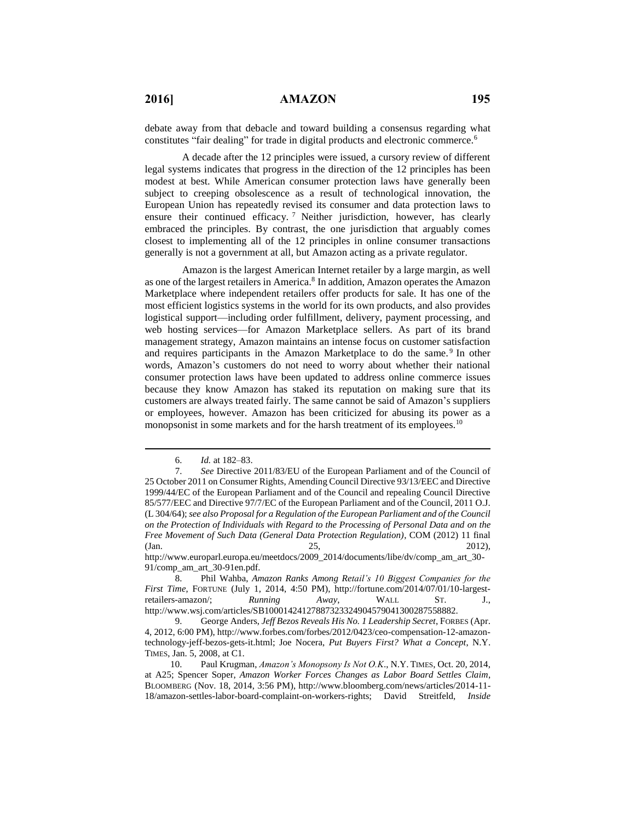debate away from that debacle and toward building a consensus regarding what constitutes "fair dealing" for trade in digital products and electronic commerce.<sup>6</sup>

A decade after the 12 principles were issued, a cursory review of different legal systems indicates that progress in the direction of the 12 principles has been modest at best. While American consumer protection laws have generally been subject to creeping obsolescence as a result of technological innovation, the European Union has repeatedly revised its consumer and data protection laws to ensure their continued efficacy.<sup>7</sup> Neither jurisdiction, however, has clearly embraced the principles. By contrast, the one jurisdiction that arguably comes closest to implementing all of the 12 principles in online consumer transactions generally is not a government at all, but Amazon acting as a private regulator.

Amazon is the largest American Internet retailer by a large margin, as well as one of the largest retailers in America.<sup>8</sup> In addition, Amazon operates the Amazon Marketplace where independent retailers offer products for sale. It has one of the most efficient logistics systems in the world for its own products, and also provides logistical support—including order fulfillment, delivery, payment processing, and web hosting services—for Amazon Marketplace sellers. As part of its brand management strategy, Amazon maintains an intense focus on customer satisfaction and requires participants in the Amazon Marketplace to do the same.<sup>9</sup> In other words, Amazon's customers do not need to worry about whether their national consumer protection laws have been updated to address online commerce issues because they know Amazon has staked its reputation on making sure that its customers are always treated fairly. The same cannot be said of Amazon's suppliers or employees, however. Amazon has been criticized for abusing its power as a monopsonist in some markets and for the harsh treatment of its employees.<sup>10</sup>

 $\overline{a}$ 

http://www.europarl.europa.eu/meetdocs/2009\_2014/documents/libe/dv/comp\_am\_art\_30- 91/comp\_am\_art\_30-91en.pdf.

<sup>6.</sup> *Id.* at 182–83.

<sup>7.</sup> *See* Directive 2011/83/EU of the European Parliament and of the Council of 25 October 2011 on Consumer Rights, Amending Council Directive 93/13/EEC and Directive 1999/44/EC of the European Parliament and of the Council and repealing Council Directive 85/577/EEC and Directive 97/7/EC of the European Parliament and of the Council, 2011 O.J. (L 304/64); *see also Proposal for a Regulation of the European Parliament and of the Council on the Protection of Individuals with Regard to the Processing of Personal Data and on the Free Movement of Such Data (General Data Protection Regulation)*, COM (2012) 11 final  $(Jan. 25, 2012),$ 

<sup>8.</sup> Phil Wahba, *Amazon Ranks Among Retail's 10 Biggest Companies for the First Time*, FORTUNE (July 1, 2014, 4:50 PM), http://fortune.com/2014/07/01/10-largestretailers-amazon/; *Running Away*, WALL ST. J., http://www.wsj.com/articles/SB10001424127887323324904579041300287558882.

<sup>9.</sup> George Anders, *Jeff Bezos Reveals His No. 1 Leadership Secret*, FORBES (Apr. 4, 2012, 6:00 PM), http://www.forbes.com/forbes/2012/0423/ceo-compensation-12-amazontechnology-jeff-bezos-gets-it.html; Joe Nocera, *Put Buyers First? What a Concept*, N.Y. TIMES, Jan. 5, 2008, at C1.

<sup>10.</sup> Paul Krugman, *Amazon's Monopsony Is Not O.K*., N.Y. TIMES, Oct. 20, 2014, at A25; Spencer Soper, *Amazon Worker Forces Changes as Labor Board Settles Claim*, BLOOMBERG (Nov. 18, 2014, 3:56 PM), http://www.bloomberg.com/news/articles/2014-11- 18/amazon-settles-labor-board-complaint-on-workers-rights; David Streitfeld, *Inside*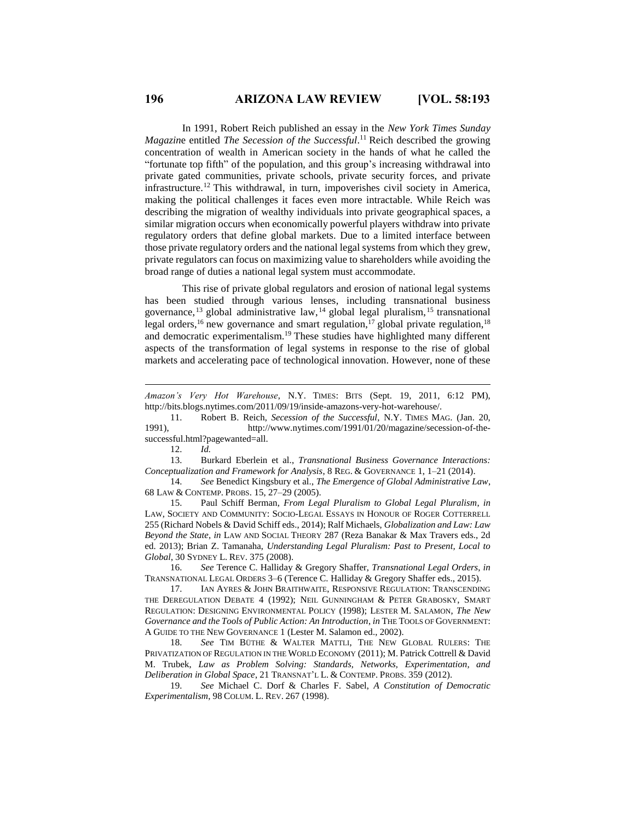In 1991, Robert Reich published an essay in the *New York Times Sunday Magazin*e entitled *The Secession of the Successful*. <sup>11</sup> Reich described the growing concentration of wealth in American society in the hands of what he called the "fortunate top fifth" of the population, and this group's increasing withdrawal into private gated communities, private schools, private security forces, and private infrastructure.<sup>12</sup> This withdrawal, in turn, impoverishes civil society in America, making the political challenges it faces even more intractable. While Reich was describing the migration of wealthy individuals into private geographical spaces, a similar migration occurs when economically powerful players withdraw into private regulatory orders that define global markets. Due to a limited interface between those private regulatory orders and the national legal systems from which they grew, private regulators can focus on maximizing value to shareholders while avoiding the broad range of duties a national legal system must accommodate.

This rise of private global regulators and erosion of national legal systems has been studied through various lenses, including transnational business governance, <sup>13</sup> global administrative law, <sup>14</sup> global legal pluralism, <sup>15</sup> transnational legal orders,<sup>16</sup> new governance and smart regulation,<sup>17</sup> global private regulation,<sup>18</sup> and democratic experimentalism.<sup>19</sup> These studies have highlighted many different aspects of the transformation of legal systems in response to the rise of global markets and accelerating pace of technological innovation. However, none of these

12. *Id.*

 $\overline{a}$ 

14. *See* Benedict Kingsbury et al., *The Emergence of Global Administrative Law*, 68 LAW & CONTEMP. PROBS. 15, 27–29 (2005).

15. Paul Schiff Berman, *From Legal Pluralism to Global Legal Pluralism*, *in* LAW, SOCIETY AND COMMUNITY: SOCIO-LEGAL ESSAYS IN HONOUR OF ROGER COTTERRELL 255 (Richard Nobels & David Schiff eds., 2014); Ralf Michaels, *Globalization and Law: Law Beyond the State*, *in* LAW AND SOCIAL THEORY 287 (Reza Banakar & Max Travers eds., 2d ed. 2013); Brian Z. Tamanaha, *Understanding Legal Pluralism: Past to Present, Local to Global*, 30 SYDNEY L. REV. 375 (2008).

16. *See* Terence C. Halliday & Gregory Shaffer, *Transnational Legal Orders*, *in* TRANSNATIONAL LEGAL ORDERS 3–6 (Terence C. Halliday & Gregory Shaffer eds., 2015).

17. IAN AYRES & JOHN BRAITHWAITE, RESPONSIVE REGULATION: TRANSCENDING THE DEREGULATION DEBATE 4 (1992); NEIL GUNNINGHAM & PETER GRABOSKY, SMART REGULATION: DESIGNING ENVIRONMENTAL POLICY (1998); LESTER M. SALAMON, *The New Governance and the Tools of Public Action: An Introduction*, *in* THE TOOLS OF GOVERNMENT: A GUIDE TO THE NEW GOVERNANCE 1 (Lester M. Salamon ed., 2002).

18. *See* TIM BÜTHE & WALTER MATTLI, THE NEW GLOBAL RULERS: THE PRIVATIZATION OF REGULATION IN THE WORLD ECONOMY (2011); M. Patrick Cottrell & David M. Trubek, *Law as Problem Solving: Standards, Networks, Experimentation, and Deliberation in Global Space*, 21 TRANSNAT'L L. & CONTEMP. PROBS. 359 (2012).

19. *See* Michael C. Dorf & Charles F. Sabel, *A Constitution of Democratic Experimentalism*, 98 COLUM. L. REV. 267 (1998).

*Amazon's Very Hot Warehouse*, N.Y. TIMES: BITS (Sept. 19, 2011, 6:12 PM), http://bits.blogs.nytimes.com/2011/09/19/inside-amazons-very-hot-warehouse/.

<sup>11.</sup> Robert B. Reich, *Secession of the Successful*, N.Y. TIMES MAG. (Jan. 20, 1991), http://www.nytimes.com/1991/01/20/magazine/secession-of-thesuccessful.html?pagewanted=all.

<sup>13.</sup> Burkard Eberlein et al., *Transnational Business Governance Interactions: Conceptualization and Framework for Analysis*, 8 REG. & GOVERNANCE 1, 1–21 (2014).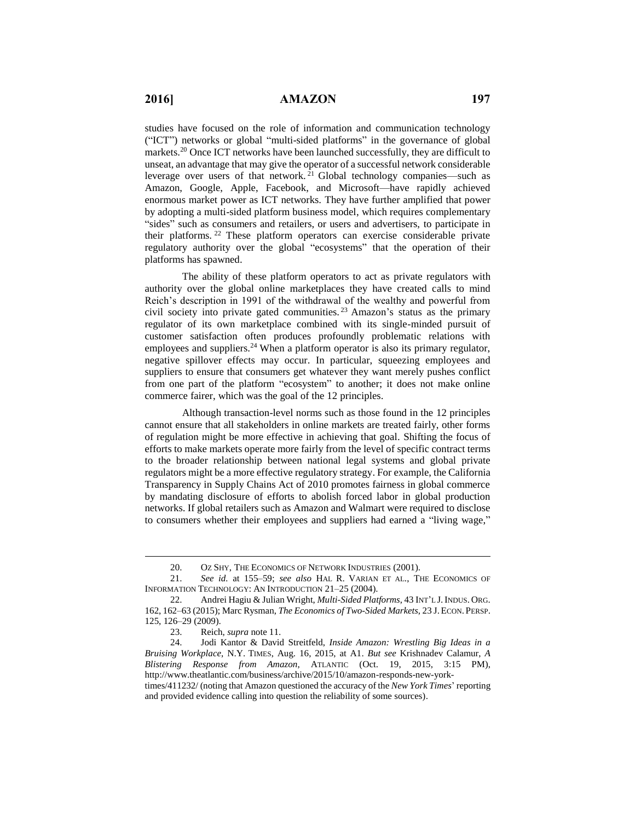studies have focused on the role of information and communication technology ("ICT") networks or global "multi-sided platforms" in the governance of global markets.<sup>20</sup> Once ICT networks have been launched successfully, they are difficult to unseat, an advantage that may give the operator of a successful network considerable leverage over users of that network. <sup>21</sup> Global technology companies—such as Amazon, Google, Apple, Facebook, and Microsoft—have rapidly achieved enormous market power as ICT networks. They have further amplified that power by adopting a multi-sided platform business model, which requires complementary "sides" such as consumers and retailers, or users and advertisers, to participate in their platforms. <sup>22</sup> These platform operators can exercise considerable private regulatory authority over the global "ecosystems" that the operation of their platforms has spawned.

The ability of these platform operators to act as private regulators with authority over the global online marketplaces they have created calls to mind Reich's description in 1991 of the withdrawal of the wealthy and powerful from civil society into private gated communities. <sup>23</sup> Amazon's status as the primary regulator of its own marketplace combined with its single-minded pursuit of customer satisfaction often produces profoundly problematic relations with employees and suppliers.<sup>24</sup> When a platform operator is also its primary regulator, negative spillover effects may occur. In particular, squeezing employees and suppliers to ensure that consumers get whatever they want merely pushes conflict from one part of the platform "ecosystem" to another; it does not make online commerce fairer, which was the goal of the 12 principles.

Although transaction-level norms such as those found in the 12 principles cannot ensure that all stakeholders in online markets are treated fairly, other forms of regulation might be more effective in achieving that goal. Shifting the focus of efforts to make markets operate more fairly from the level of specific contract terms to the broader relationship between national legal systems and global private regulators might be a more effective regulatory strategy. For example, the California Transparency in Supply Chains Act of 2010 promotes fairness in global commerce by mandating disclosure of efforts to abolish forced labor in global production networks. If global retailers such as Amazon and Walmart were required to disclose to consumers whether their employees and suppliers had earned a "living wage,"

<sup>20.</sup> OZ SHY, THE ECONOMICS OF NETWORK INDUSTRIES (2001).

<sup>21.</sup> *See id.* at 155–59; *see also* HAL R. VARIAN ET AL., THE ECONOMICS OF INFORMATION TECHNOLOGY: AN INTRODUCTION 21–25 (2004).

<sup>22.</sup> Andrei Hagiu & Julian Wright, *Multi-Sided Platforms*, 43 INT'L J.INDUS. ORG. 162, 162–63 (2015); Marc Rysman, *The Economics of Two-Sided Markets*, 23 J.ECON. PERSP. 125, 126–29 (2009).

<sup>23.</sup> Reich, *supra* note 11.

<sup>24.</sup> Jodi Kantor & David Streitfeld, *Inside Amazon: Wrestling Big Ideas in a Bruising Workplace*, N.Y. TIMES, Aug. 16, 2015, at A1. *But see* Krishnadev Calamur, *A Blistering Response from Amazon*, ATLANTIC (Oct. 19, 2015, 3:15 PM), http://www.theatlantic.com/business/archive/2015/10/amazon-responds-new-york-

times/411232/ (noting that Amazon questioned the accuracy of the *New York Times*' reporting and provided evidence calling into question the reliability of some sources).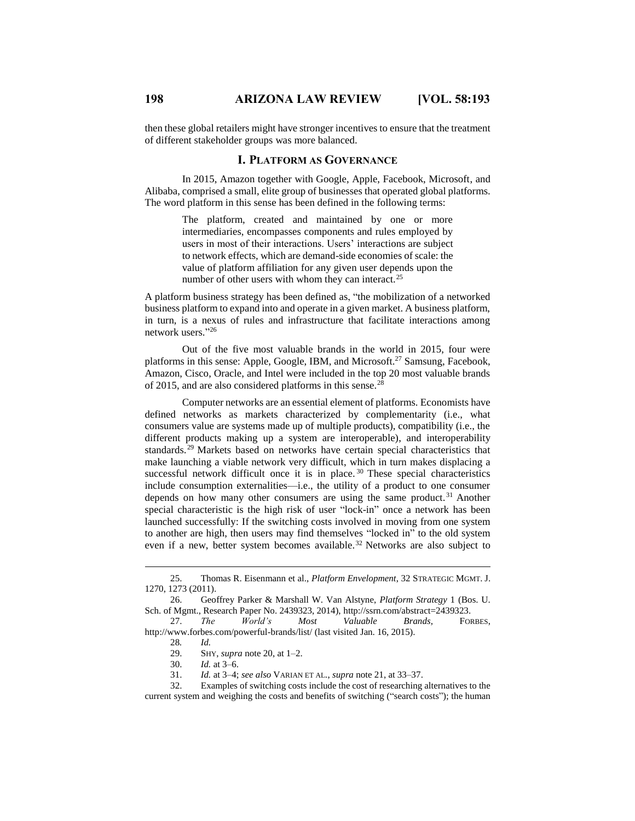then these global retailers might have stronger incentives to ensure that the treatment of different stakeholder groups was more balanced.

## **I. PLATFORM AS GOVERNANCE**

In 2015, Amazon together with Google, Apple, Facebook, Microsoft, and Alibaba, comprised a small, elite group of businesses that operated global platforms. The word platform in this sense has been defined in the following terms:

> The platform, created and maintained by one or more intermediaries, encompasses components and rules employed by users in most of their interactions. Users' interactions are subject to network effects, which are demand-side economies of scale: the value of platform affiliation for any given user depends upon the number of other users with whom they can interact.<sup>25</sup>

A platform business strategy has been defined as, "the mobilization of a networked business platform to expand into and operate in a given market. A business platform, in turn, is a nexus of rules and infrastructure that facilitate interactions among network users." 26

Out of the five most valuable brands in the world in 2015, four were platforms in this sense: Apple, Google, IBM, and Microsoft.<sup>27</sup> Samsung, Facebook, Amazon, Cisco, Oracle, and Intel were included in the top 20 most valuable brands of 2015, and are also considered platforms in this sense.<sup>28</sup>

Computer networks are an essential element of platforms. Economists have defined networks as markets characterized by complementarity (i.e., what consumers value are systems made up of multiple products), compatibility (i.e., the different products making up a system are interoperable), and interoperability standards.<sup>29</sup> Markets based on networks have certain special characteristics that make launching a viable network very difficult, which in turn makes displacing a successful network difficult once it is in place.<sup>30</sup> These special characteristics include consumption externalities—i.e., the utility of a product to one consumer depends on how many other consumers are using the same product. <sup>31</sup> Another special characteristic is the high risk of user "lock-in" once a network has been launched successfully: If the switching costs involved in moving from one system to another are high, then users may find themselves "locked in" to the old system even if a new, better system becomes available. <sup>32</sup> Networks are also subject to

 $\overline{a}$ 

31. *Id.* at 3–4; *see also* VARIAN ET AL., *supra* note 21, at 33–37.

32. Examples of switching costs include the cost of researching alternatives to the current system and weighing the costs and benefits of switching ("search costs"); the human

<sup>25.</sup> Thomas R. Eisenmann et al., *Platform Envelopment*, 32 STRATEGIC MGMT. J. 1270, 1273 (2011).

<sup>26.</sup> Geoffrey Parker & Marshall W. Van Alstyne, *Platform Strategy* 1 (Bos. U. Sch. of Mgmt., Research Paper No. 2439323, 2014), http://ssrn.com/abstract=2439323.

<sup>27.</sup> *The World's Most Valuable Brands*, FORBES, http://www.forbes.com/powerful-brands/list/ (last visited Jan. 16, 2015).

<sup>28</sup>*. Id.*

<sup>29.</sup> SHY, *supra* note 20, at 1–2.

<sup>30.</sup> *Id.* at 3–6.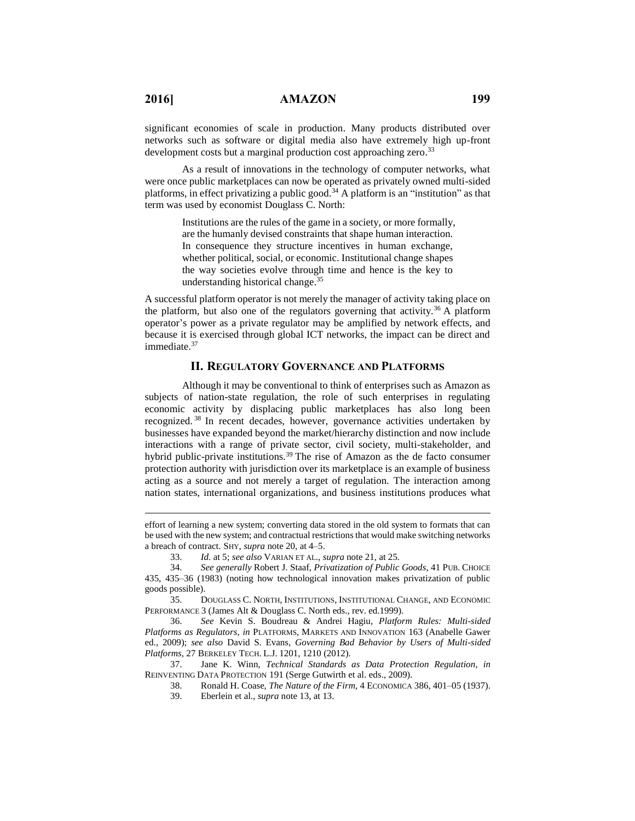significant economies of scale in production. Many products distributed over networks such as software or digital media also have extremely high up-front development costs but a marginal production cost approaching zero.<sup>33</sup>

As a result of innovations in the technology of computer networks, what were once public marketplaces can now be operated as privately owned multi-sided platforms, in effect privatizing a public good.<sup>34</sup> A platform is an "institution" as that term was used by economist Douglass C. North:

> Institutions are the rules of the game in a society, or more formally, are the humanly devised constraints that shape human interaction. In consequence they structure incentives in human exchange, whether political, social, or economic. Institutional change shapes the way societies evolve through time and hence is the key to understanding historical change. 35

A successful platform operator is not merely the manager of activity taking place on the platform, but also one of the regulators governing that activity.<sup>36</sup> A platform operator's power as a private regulator may be amplified by network effects, and because it is exercised through global ICT networks, the impact can be direct and immediate. 37

## **II. REGULATORY GOVERNANCE AND PLATFORMS**

Although it may be conventional to think of enterprises such as Amazon as subjects of nation-state regulation, the role of such enterprises in regulating economic activity by displacing public marketplaces has also long been recognized. <sup>38</sup> In recent decades, however, governance activities undertaken by businesses have expanded beyond the market/hierarchy distinction and now include interactions with a range of private sector, civil society, multi-stakeholder, and hybrid public-private institutions.<sup>39</sup> The rise of Amazon as the de facto consumer protection authority with jurisdiction over its marketplace is an example of business acting as a source and not merely a target of regulation. The interaction among nation states, international organizations, and business institutions produces what

- 38. Ronald H. Coase, *The Nature of the Firm*, 4 ECONOMICA 386, 401–05 (1937).
- 39. Eberlein et al., *supra* note 13, at 13.

effort of learning a new system; converting data stored in the old system to formats that can be used with the new system; and contractual restrictions that would make switching networks a breach of contract. SHY, *supra* note 20, at 4–5.

<sup>33.</sup> *Id.* at 5; *see also* VARIAN ET AL., *supra* note 21, at 25.

<sup>34.</sup> *See generally* Robert J. Staaf, *Privatization of Public Goods*, 41 PUB. CHOICE 435, 435–36 (1983) (noting how technological innovation makes privatization of public goods possible).

<sup>35.</sup> DOUGLASS C. NORTH, INSTITUTIONS, INSTITUTIONAL CHANGE, AND ECONOMIC PERFORMANCE 3 (James Alt & Douglass C. North eds., rev. ed.1999).

<sup>36.</sup> *See* Kevin S. Boudreau & Andrei Hagiu, *Platform Rules: Multi-sided Platforms as Regulators*, *in* PLATFORMS, MARKETS AND INNOVATION 163 (Anabelle Gawer ed., 2009); *see also* David S. Evans, *Governing Bad Behavior by Users of Multi-sided Platforms*, 27 BERKELEY TECH. L.J. 1201, 1210 (2012).

<sup>37.</sup> Jane K. Winn, *Technical Standards as Data Protection Regulation*, *in*  REINVENTING DATA PROTECTION 191 (Serge Gutwirth et al. eds., 2009).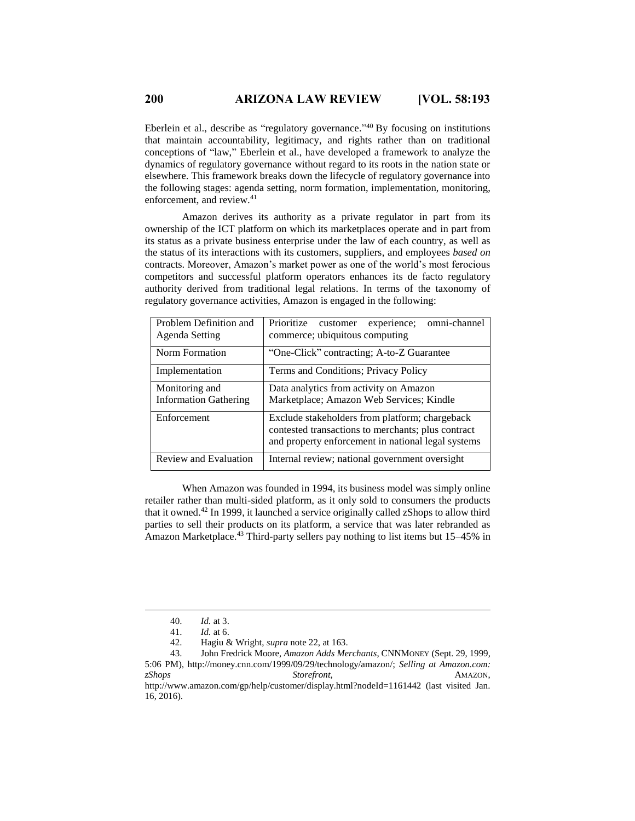Eberlein et al., describe as "regulatory governance."<sup>40</sup> By focusing on institutions that maintain accountability, legitimacy, and rights rather than on traditional conceptions of "law," Eberlein et al., have developed a framework to analyze the dynamics of regulatory governance without regard to its roots in the nation state or elsewhere. This framework breaks down the lifecycle of regulatory governance into the following stages: agenda setting, norm formation, implementation, monitoring, enforcement, and review.<sup>41</sup>

Amazon derives its authority as a private regulator in part from its ownership of the ICT platform on which its marketplaces operate and in part from its status as a private business enterprise under the law of each country, as well as the status of its interactions with its customers, suppliers, and employees *based on* contracts. Moreover, Amazon's market power as one of the world's most ferocious competitors and successful platform operators enhances its de facto regulatory authority derived from traditional legal relations. In terms of the taxonomy of regulatory governance activities, Amazon is engaged in the following:

| Problem Definition and<br>Agenda Setting       | Prioritize customer<br>omni-channel<br>experience:<br>commerce; ubiquitous computing                                                                       |  |  |
|------------------------------------------------|------------------------------------------------------------------------------------------------------------------------------------------------------------|--|--|
| Norm Formation                                 | "One-Click" contracting; A-to-Z Guarantee                                                                                                                  |  |  |
| Implementation                                 | Terms and Conditions; Privacy Policy                                                                                                                       |  |  |
| Monitoring and<br><b>Information Gathering</b> | Data analytics from activity on Amazon<br>Marketplace; Amazon Web Services; Kindle                                                                         |  |  |
| Enforcement                                    | Exclude stakeholders from platform; chargeback<br>contested transactions to merchants; plus contract<br>and property enforcement in national legal systems |  |  |
| Review and Evaluation                          | Internal review; national government oversight                                                                                                             |  |  |

When Amazon was founded in 1994, its business model was simply online retailer rather than multi-sided platform, as it only sold to consumers the products that it owned.<sup>42</sup> In 1999, it launched a service originally called zShops to allow third parties to sell their products on its platform, a service that was later rebranded as Amazon Marketplace.<sup>43</sup> Third-party sellers pay nothing to list items but 15–45% in

<sup>40.</sup> *Id.* at 3.

<sup>41.</sup> *Id.* at 6.

<sup>42.</sup> Hagiu & Wright, *supra* note 22, at 163.

<sup>43.</sup> John Fredrick Moore, *Amazon Adds Merchants*, CNNMONEY (Sept. 29, 1999, 5:06 PM), http://money.cnn.com/1999/09/29/technology/amazon/; *Selling at Amazon.com: zShops Storefront*, AMAZON, http://www.amazon.com/gp/help/customer/display.html?nodeId=1161442 (last visited Jan. 16, 2016).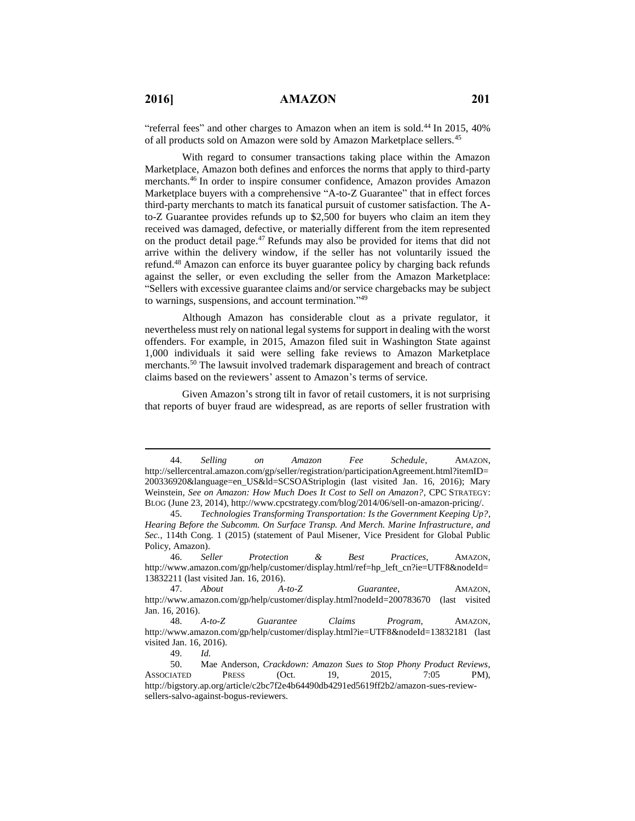$\overline{a}$ 

"referral fees" and other charges to Amazon when an item is sold.<sup>44</sup> In 2015,  $40\%$ of all products sold on Amazon were sold by Amazon Marketplace sellers.<sup>45</sup>

With regard to consumer transactions taking place within the Amazon Marketplace, Amazon both defines and enforces the norms that apply to third-party merchants.<sup>46</sup> In order to inspire consumer confidence, Amazon provides Amazon Marketplace buyers with a comprehensive "A-to-Z Guarantee" that in effect forces third-party merchants to match its fanatical pursuit of customer satisfaction. The Ato-Z Guarantee provides refunds up to \$2,500 for buyers who claim an item they received was damaged, defective, or materially different from the item represented on the product detail page. <sup>47</sup> Refunds may also be provided for items that did not arrive within the delivery window, if the seller has not voluntarily issued the refund.<sup>48</sup> Amazon can enforce its buyer guarantee policy by charging back refunds against the seller, or even excluding the seller from the Amazon Marketplace: "Sellers with excessive guarantee claims and/or service chargebacks may be subject to warnings, suspensions, and account termination."<sup>49</sup>

Although Amazon has considerable clout as a private regulator, it nevertheless must rely on national legal systems for support in dealing with the worst offenders. For example, in 2015, Amazon filed suit in Washington State against 1,000 individuals it said were selling fake reviews to Amazon Marketplace merchants.<sup>50</sup> The lawsuit involved trademark disparagement and breach of contract claims based on the reviewers' assent to Amazon's terms of service.

Given Amazon's strong tilt in favor of retail customers, it is not surprising that reports of buyer fraud are widespread, as are reports of seller frustration with

<sup>44.</sup> *Selling on Amazon Fee Schedule*, AMAZON, http://sellercentral.amazon.com/gp/seller/registration/participationAgreement.html?itemID= 200336920&language=en\_US&ld=SCSOAStriplogin (last visited Jan. 16, 2016); Mary Weinstein, *See on Amazon: How Much Does It Cost to Sell on Amazon?*, CPC STRATEGY: BLOG (June 23, 2014), http://www.cpcstrategy.com/blog/2014/06/sell-on-amazon-pricing/.

<sup>45.</sup> *Technologies Transforming Transportation: Is the Government Keeping Up?*, *Hearing Before the Subcomm. On Surface Transp. And Merch. Marine Infrastructure, and Sec.*, 114th Cong. 1 (2015) (statement of Paul Misener, Vice President for Global Public Policy, Amazon).

<sup>46.</sup> *Seller Protection & Best Practices*, AMAZON, http://www.amazon.com/gp/help/customer/display.html/ref=hp\_left\_cn?ie=UTF8&nodeId= 13832211 (last visited Jan. 16, 2016).<br>47. About A-

<sup>47.</sup> *About A-to-Z Guarantee*, AMAZON, http://www.amazon.com/gp/help/customer/display.html?nodeId=200783670 (last visited Jan. 16, 2016).

<sup>48.</sup> *A-to-Z Guarantee Claims Program*, AMAZON, http://www.amazon.com/gp/help/customer/display.html?ie=UTF8&nodeId=13832181 (last visited Jan. 16, 2016).

<sup>49.</sup> *Id.*

<sup>50.</sup> Mae Anderson, *Crackdown: Amazon Sues to Stop Phony Product Reviews*, ASSOCIATED PRESS (Oct. 19, 2015, 7:05 PM), http://bigstory.ap.org/article/c2bc7f2e4b64490db4291ed5619ff2b2/amazon-sues-reviewsellers-salvo-against-bogus-reviewers.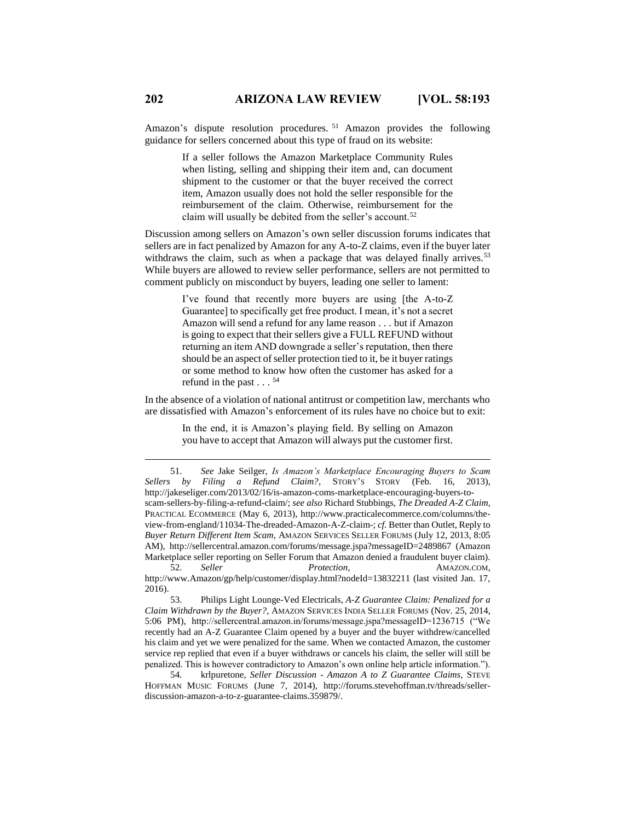Amazon's dispute resolution procedures. <sup>51</sup> Amazon provides the following guidance for sellers concerned about this type of fraud on its website:

> If a seller follows the Amazon Marketplace Community Rules when listing, selling and shipping their item and, can document shipment to the customer or that the buyer received the correct item, Amazon usually does not hold the seller responsible for the reimbursement of the claim. Otherwise, reimbursement for the claim will usually be debited from the seller's account.<sup>52</sup>

Discussion among sellers on Amazon's own seller discussion forums indicates that sellers are in fact penalized by Amazon for any A-to-Z claims, even if the buyer later withdraws the claim, such as when a package that was delayed finally arrives.<sup>53</sup> While buyers are allowed to review seller performance, sellers are not permitted to comment publicly on misconduct by buyers, leading one seller to lament:

> I've found that recently more buyers are using [the A-to-Z Guarantee] to specifically get free product. I mean, it's not a secret Amazon will send a refund for any lame reason . . . but if Amazon is going to expect that their sellers give a FULL REFUND without returning an item AND downgrade a seller's reputation, then there should be an aspect of seller protection tied to it, be it buyer ratings or some method to know how often the customer has asked for a refund in the past . . . 54

In the absence of a violation of national antitrust or competition law, merchants who are dissatisfied with Amazon's enforcement of its rules have no choice but to exit:

> In the end, it is Amazon's playing field. By selling on Amazon you have to accept that Amazon will always put the customer first.

http://www.Amazon/gp/help/customer/display.html?nodeId=13832211 (last visited Jan. 17, 2016).

53. Philips Light Lounge-Ved Electricals, *A-Z Guarantee Claim: Penalized for a Claim Withdrawn by the Buyer?*, AMAZON SERVICES INDIA SELLER FORUMS (Nov. 25, 2014, 5:06 PM), http://sellercentral.amazon.in/forums/message.jspa?messageID=1236715 ("We recently had an A-Z Guarantee Claim opened by a buyer and the buyer withdrew/cancelled his claim and yet we were penalized for the same. When we contacted Amazon, the customer service rep replied that even if a buyer withdraws or cancels his claim, the seller will still be penalized. This is however contradictory to Amazon's own online help article information.").

54*.* krlpuretone, *Seller Discussion - Amazon A to Z Guarantee Claims*, STEVE HOFFMAN MUSIC FORUMS (June 7, 2014), http://forums.stevehoffman.tv/threads/sellerdiscussion-amazon-a-to-z-guarantee-claims.359879/.

<sup>51.</sup> *See* Jake Seilger, *Is Amazon's Marketplace Encouraging Buyers to Scam Sellers by Filing a Refund Claim?*, STORY'S STORY (Feb. 16, 2013), http://jakeseliger.com/2013/02/16/is-amazon-coms-marketplace-encouraging-buyers-toscam-sellers-by-filing-a-refund-claim/; *see also* Richard Stubbings, *The Dreaded A-Z Claim*, PRACTICAL ECOMMERCE (May 6, 2013), http://www.practicalecommerce.com/columns/theview-from-england/11034-The-dreaded-Amazon-A-Z-claim-; *cf.* Better than Outlet, Reply to *Buyer Return Different Item Scam*, AMAZON SERVICES SELLER FORUMS (July 12, 2013, 8:05 AM), http://sellercentral.amazon.com/forums/message.jspa?messageID=2489867 (Amazon Marketplace seller reporting on Seller Forum that Amazon denied a fraudulent buyer claim). 52. *Seller Protection*, AMAZON.COM,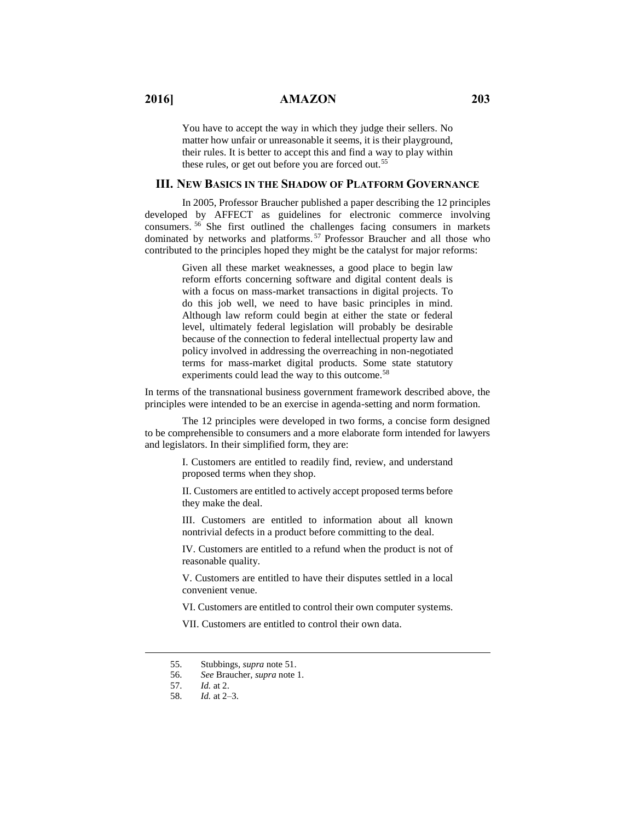You have to accept the way in which they judge their sellers. No matter how unfair or unreasonable it seems, it is their playground, their rules. It is better to accept this and find a way to play within these rules, or get out before you are forced out.<sup>55</sup>

## **III. NEW BASICS IN THE SHADOW OF PLATFORM GOVERNANCE**

In 2005, Professor Braucher published a paper describing the 12 principles developed by AFFECT as guidelines for electronic commerce involving consumers. <sup>56</sup> She first outlined the challenges facing consumers in markets dominated by networks and platforms. <sup>57</sup> Professor Braucher and all those who contributed to the principles hoped they might be the catalyst for major reforms:

> Given all these market weaknesses, a good place to begin law reform efforts concerning software and digital content deals is with a focus on mass-market transactions in digital projects. To do this job well, we need to have basic principles in mind. Although law reform could begin at either the state or federal level, ultimately federal legislation will probably be desirable because of the connection to federal intellectual property law and policy involved in addressing the overreaching in non-negotiated terms for mass-market digital products. Some state statutory experiments could lead the way to this outcome.<sup>58</sup>

In terms of the transnational business government framework described above, the principles were intended to be an exercise in agenda-setting and norm formation.

The 12 principles were developed in two forms, a concise form designed to be comprehensible to consumers and a more elaborate form intended for lawyers and legislators. In their simplified form, they are:

> I. Customers are entitled to readily find, review, and understand proposed terms when they shop.

> II. Customers are entitled to actively accept proposed terms before they make the deal.

> III. Customers are entitled to information about all known nontrivial defects in a product before committing to the deal.

> IV. Customers are entitled to a refund when the product is not of reasonable quality.

> V. Customers are entitled to have their disputes settled in a local convenient venue.

> VI. Customers are entitled to control their own computer systems.

VII. Customers are entitled to control their own data.

<sup>55.</sup> Stubbings, *supra* note 51.

<sup>56.</sup> *See* Braucher, *supra* note 1.

<sup>57.</sup> *Id.* at 2.

<sup>58.</sup> *Id.* at 2–3.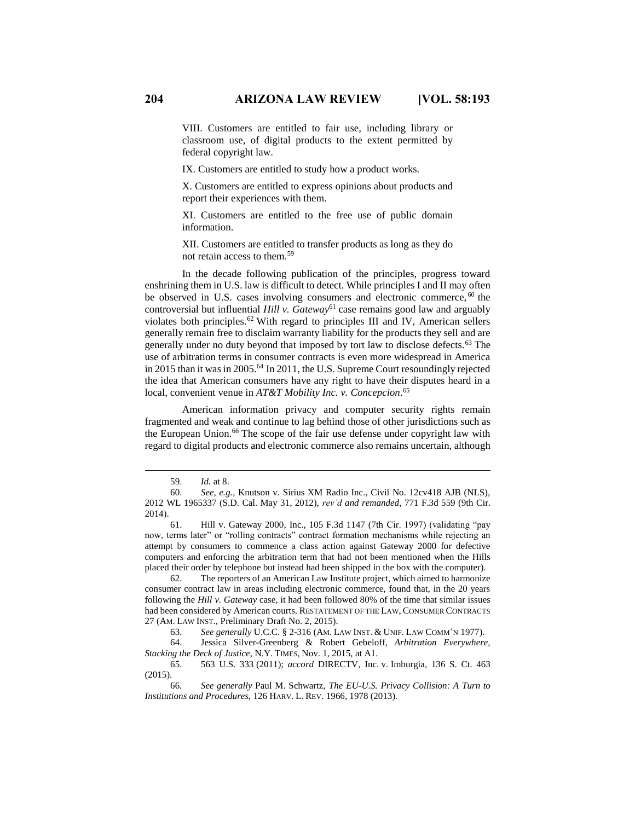VIII. Customers are entitled to fair use, including library or classroom use, of digital products to the extent permitted by federal copyright law.

IX. Customers are entitled to study how a product works.

X. Customers are entitled to express opinions about products and report their experiences with them.

XI. Customers are entitled to the free use of public domain information.

XII. Customers are entitled to transfer products as long as they do not retain access to them.<sup>59</sup>

In the decade following publication of the principles, progress toward enshrining them in U.S. law is difficult to detect. While principles I and II may often be observed in U.S. cases involving consumers and electronic commerce, <sup>60</sup> the controversial but influential *Hill v. Gateway*<sup>61</sup> case remains good law and arguably violates both principles.<sup>62</sup> With regard to principles III and IV, American sellers generally remain free to disclaim warranty liability for the products they sell and are generally under no duty beyond that imposed by tort law to disclose defects.<sup>63</sup> The use of arbitration terms in consumer contracts is even more widespread in America in 2015 than it was in 2005.<sup>64</sup> In 2011, the U.S. Supreme Court resoundingly rejected the idea that American consumers have any right to have their disputes heard in a local, convenient venue in *AT&T Mobility Inc. v. Concepcion*. 65

American information privacy and computer security rights remain fragmented and weak and continue to lag behind those of other jurisdictions such as the European Union.<sup>66</sup> The scope of the fair use defense under copyright law with regard to digital products and electronic commerce also remains uncertain, although

<sup>59.</sup> *Id.* at 8.

<sup>60.</sup> *See, e.g.*, Knutson v. Sirius XM Radio Inc., Civil No. 12cv418 AJB (NLS), 2012 WL 1965337 (S.D. Cal. May 31, 2012), *rev'd and remanded*, 771 F.3d 559 (9th Cir. 2014).

<sup>61.</sup> Hill v. Gateway 2000, Inc., 105 F.3d 1147 (7th Cir. 1997) (validating "pay now, terms later" or "rolling contracts" contract formation mechanisms while rejecting an attempt by consumers to commence a class action against Gateway 2000 for defective computers and enforcing the arbitration term that had not been mentioned when the Hills placed their order by telephone but instead had been shipped in the box with the computer).

<sup>62.</sup> The reporters of an American Law Institute project, which aimed to harmonize consumer contract law in areas including electronic commerce, found that, in the 20 years following the *Hill v. Gateway* case, it had been followed 80% of the time that similar issues had been considered by American courts. RESTATEMENT OF THE LAW, CONSUMER CONTRACTS 27 (AM. LAW INST., Preliminary Draft No. 2, 2015).

<sup>63.</sup> *See generally* U.C.C. § 2-316 (AM. LAW INST. & UNIF. LAW COMM'N 1977).

<sup>64.</sup> Jessica Silver-Greenberg & Robert Gebeloff, *Arbitration Everywhere, Stacking the Deck of Justice*, N.Y. TIMES, Nov. 1, 2015, at A1.

<sup>65.</sup> 563 U.S. 333 (2011); *accord* DIRECTV, Inc. v. Imburgia, 136 S. Ct. 463 (2015).

<sup>66</sup>*. See generally* Paul M. Schwartz, *The EU-U.S. Privacy Collision: A Turn to Institutions and Procedures*, 126 HARV. L. REV. 1966, 1978 (2013).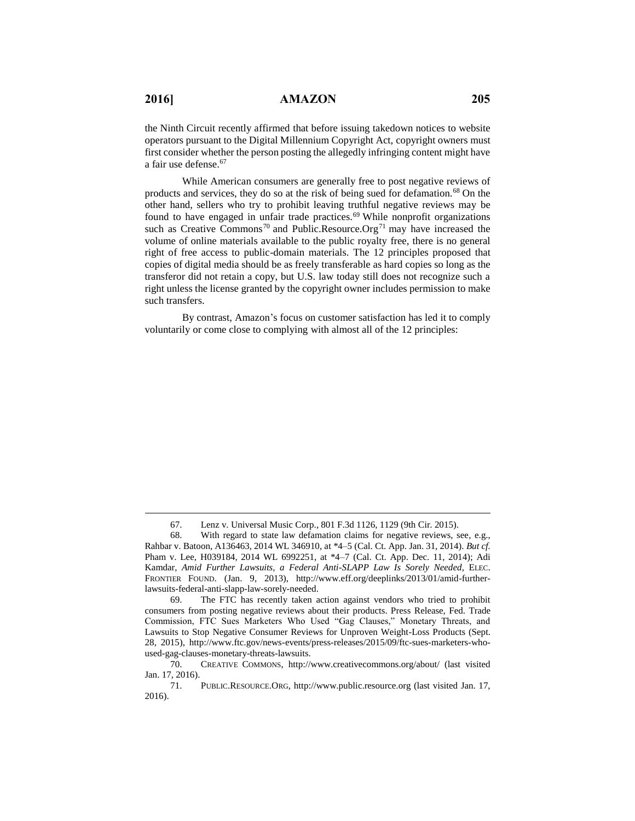$\overline{a}$ 

the Ninth Circuit recently affirmed that before issuing takedown notices to website operators pursuant to the Digital Millennium Copyright Act, copyright owners must first consider whether the person posting the allegedly infringing content might have a fair use defense.<sup>67</sup>

While American consumers are generally free to post negative reviews of products and services, they do so at the risk of being sued for defamation.<sup>68</sup> On the other hand, sellers who try to prohibit leaving truthful negative reviews may be found to have engaged in unfair trade practices.<sup>69</sup> While nonprofit organizations such as Creative Commons<sup>70</sup> and Public.Resource.Org<sup>71</sup> may have increased the volume of online materials available to the public royalty free, there is no general right of free access to public-domain materials. The 12 principles proposed that copies of digital media should be as freely transferable as hard copies so long as the transferor did not retain a copy, but U.S. law today still does not recognize such a right unless the license granted by the copyright owner includes permission to make such transfers.

By contrast, Amazon's focus on customer satisfaction has led it to comply voluntarily or come close to complying with almost all of the 12 principles:

<sup>67.</sup> Lenz v. Universal Music Corp., 801 F.3d 1126, 1129 (9th Cir. 2015).

<sup>68.</sup> With regard to state law defamation claims for negative reviews, see, e.g., Rahbar v. Batoon, A136463, 2014 WL 346910, at \*4–5 (Cal. Ct. App. Jan. 31, 2014). *But cf.* Pham v. Lee, H039184, 2014 WL 6992251, at \*4–7 (Cal. Ct. App. Dec. 11, 2014); Adi Kamdar, *Amid Further Lawsuits, a Federal Anti-SLAPP Law Is Sorely Needed*, ELEC. FRONTIER FOUND. (Jan. 9, 2013), http://www.eff.org/deeplinks/2013/01/amid-furtherlawsuits-federal-anti-slapp-law-sorely-needed.

<sup>69.</sup> The FTC has recently taken action against vendors who tried to prohibit consumers from posting negative reviews about their products. Press Release, Fed. Trade Commission, FTC Sues Marketers Who Used "Gag Clauses," Monetary Threats, and Lawsuits to Stop Negative Consumer Reviews for Unproven Weight-Loss Products (Sept. 28, 2015), http://www.ftc.gov/news-events/press-releases/2015/09/ftc-sues-marketers-whoused-gag-clauses-monetary-threats-lawsuits.

<sup>70.</sup> CREATIVE COMMONS, http://www.creativecommons.org/about/ (last visited Jan. 17, 2016).

<sup>71.</sup> PUBLIC.RESOURCE.ORG, http://www.public.resource.org (last visited Jan. 17, 2016).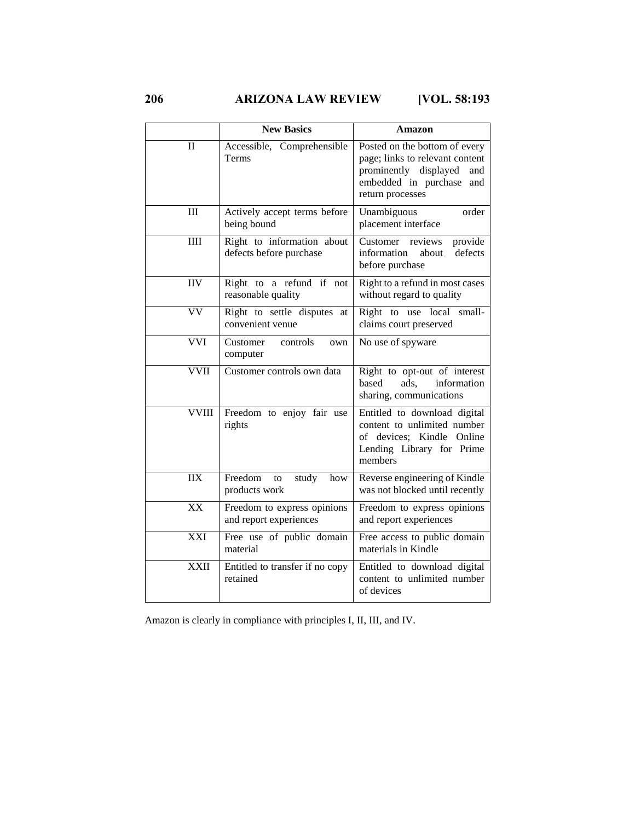**206 ARIZONA LAW REVIEW [VOL. 58:193**

|              | <b>New Basics</b>                                     | Amazon                                                                                                                                              |
|--------------|-------------------------------------------------------|-----------------------------------------------------------------------------------------------------------------------------------------------------|
| П            | Accessible, Comprehensible<br>Terms                   | Posted on the bottom of every<br>page; links to relevant content<br>prominently displayed<br>and<br>embedded in purchase<br>and<br>return processes |
| III          | Actively accept terms before<br>being bound           | Unambiguous<br>order<br>placement interface                                                                                                         |
| IIII         | Right to information about<br>defects before purchase | provide<br>Customer reviews<br>information<br>defects<br>about<br>before purchase                                                                   |
| <b>IIV</b>   | Right to a refund if not<br>reasonable quality        | Right to a refund in most cases<br>without regard to quality                                                                                        |
| VV           | Right to settle disputes at<br>convenient venue       | Right to use local<br>small-<br>claims court preserved                                                                                              |
| <b>VVI</b>   | Customer<br>controls<br>own<br>computer               | No use of spyware                                                                                                                                   |
| <b>VVII</b>  | Customer controls own data                            | Right to opt-out of interest<br>based<br>ads,<br>information<br>sharing, communications                                                             |
| <b>VVIII</b> | Freedom to enjoy fair use<br>rights                   | Entitled to download digital<br>content to unlimited number<br>of devices; Kindle Online<br>Lending Library for Prime<br>members                    |
| <b>IIX</b>   | Freedom<br>study<br>to<br>how<br>products work        | Reverse engineering of Kindle<br>was not blocked until recently                                                                                     |
| XX           | Freedom to express opinions<br>and report experiences | Freedom to express opinions<br>and report experiences                                                                                               |
| XXI          | Free use of public domain<br>material                 | Free access to public domain<br>materials in Kindle                                                                                                 |
| <b>XXII</b>  | Entitled to transfer if no copy<br>retained           | Entitled to download digital<br>content to unlimited number<br>of devices                                                                           |

Amazon is clearly in compliance with principles I, II, III, and IV.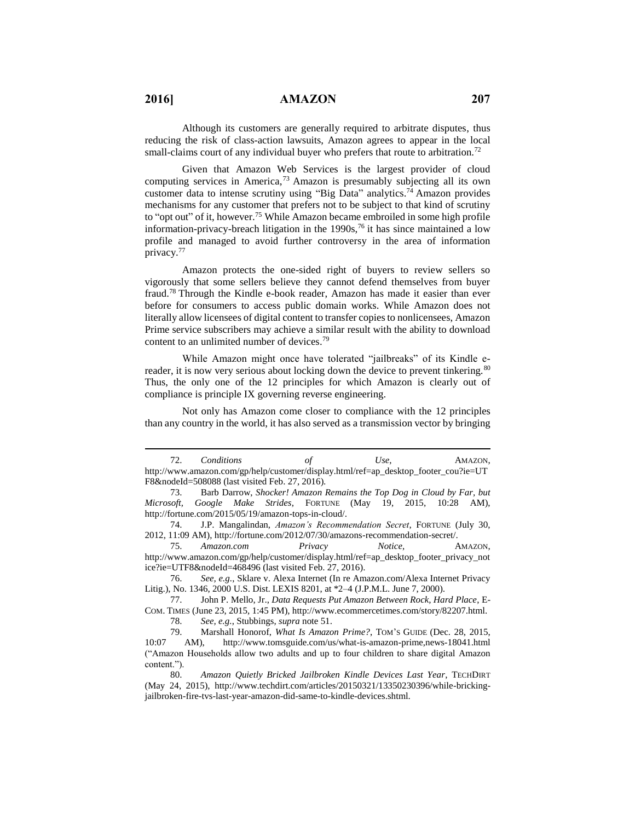Although its customers are generally required to arbitrate disputes, thus reducing the risk of class-action lawsuits, Amazon agrees to appear in the local small-claims court of any individual buyer who prefers that route to arbitration.<sup>72</sup>

Given that Amazon Web Services is the largest provider of cloud computing services in America, <sup>73</sup> Amazon is presumably subjecting all its own customer data to intense scrutiny using "Big Data" analytics.<sup>74</sup> Amazon provides mechanisms for any customer that prefers not to be subject to that kind of scrutiny to "opt out" of it, however.<sup>75</sup> While Amazon became embroiled in some high profile information-privacy-breach litigation in the  $1990s$ , <sup>76</sup> it has since maintained a low profile and managed to avoid further controversy in the area of information privacy.<sup>77</sup>

Amazon protects the one-sided right of buyers to review sellers so vigorously that some sellers believe they cannot defend themselves from buyer fraud.<sup>78</sup> Through the Kindle e-book reader, Amazon has made it easier than ever before for consumers to access public domain works. While Amazon does not literally allow licensees of digital content to transfer copies to nonlicensees, Amazon Prime service subscribers may achieve a similar result with the ability to download content to an unlimited number of devices.<sup>79</sup>

While Amazon might once have tolerated "jailbreaks" of its Kindle ereader, it is now very serious about locking down the device to prevent tinkering.<sup>80</sup> Thus, the only one of the 12 principles for which Amazon is clearly out of compliance is principle IX governing reverse engineering.

Not only has Amazon come closer to compliance with the 12 principles than any country in the world, it has also served as a transmission vector by bringing

<sup>72.</sup> *Conditions of Use*, AMAZON, http://www.amazon.com/gp/help/customer/display.html/ref=ap\_desktop\_footer\_cou?ie=UT F8&nodeId=508088 (last visited Feb. 27, 2016).

<sup>73.</sup> Barb Darrow, *Shocker! Amazon Remains the Top Dog in Cloud by Far, but Microsoft, Google Make Strides*, FORTUNE (May 19, 2015, 10:28 AM), http://fortune.com/2015/05/19/amazon-tops-in-cloud/.

<sup>74.</sup> J.P. Mangalindan, *Amazon's Recommendation Secret*, FORTUNE (July 30, 2012, 11:09 AM), http://fortune.com/2012/07/30/amazons-recommendation-secret/.

<sup>75.</sup> *Amazon.com Privacy Notice*, AMAZON, http://www.amazon.com/gp/help/customer/display.html/ref=ap\_desktop\_footer\_privacy\_not ice?ie=UTF8&nodeId=468496 (last visited Feb. 27, 2016).

<sup>76.</sup> *See, e.g.*, Sklare v. Alexa Internet (In re Amazon.com/Alexa Internet Privacy Litig.), No. 1346, 2000 U.S. Dist. LEXIS 8201, at \*2–4 (J.P.M.L. June 7, 2000).

<sup>77.</sup> John P. Mello, Jr., *Data Requests Put Amazon Between Rock, Hard Place*, E-COM. TIMES (June 23, 2015, 1:45 PM), http://www.ecommercetimes.com/story/82207.html.

<sup>78.</sup> *See, e.g.*, Stubbings, *supra* note 51.

<sup>79.</sup> Marshall Honorof, *What Is Amazon Prime?*, TOM'S GUIDE (Dec. 28, 2015, 10:07 AM), <http://www.tomsguide.com/us/what-is-amazon-prime,news-18041.html> ("Amazon Households allow two adults and up to four children to share digital Amazon content.").

<sup>80.</sup> *Amazon Quietly Bricked Jailbroken Kindle Devices Last Year*, TECHDIRT (May 24, 2015), http://www.techdirt.com/articles/20150321/13350230396/while-brickingjailbroken-fire-tvs-last-year-amazon-did-same-to-kindle-devices.shtml.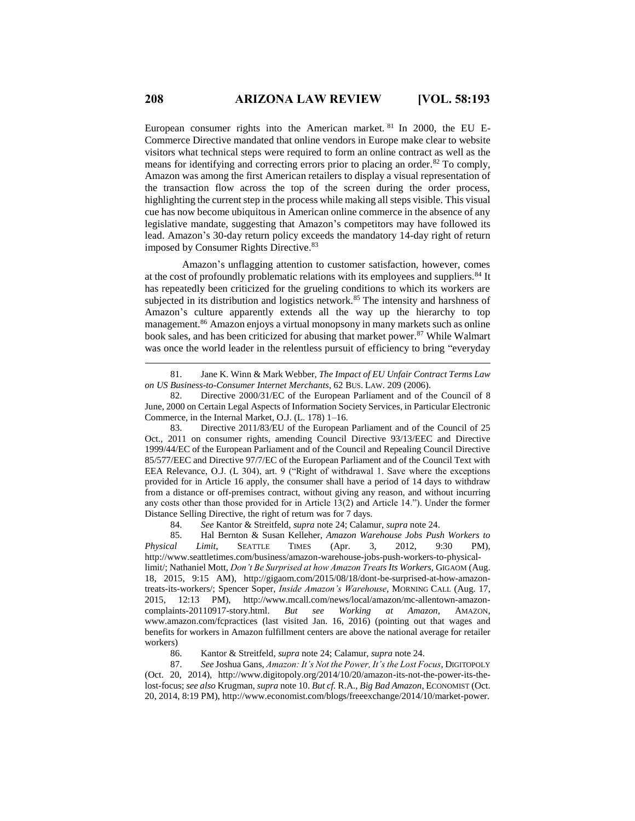European consumer rights into the American market. <sup>81</sup> In 2000, the EU E-Commerce Directive mandated that online vendors in Europe make clear to website visitors what technical steps were required to form an online contract as well as the means for identifying and correcting errors prior to placing an order.<sup>82</sup> To comply, Amazon was among the first American retailers to display a visual representation of the transaction flow across the top of the screen during the order process, highlighting the current step in the process while making all steps visible. This visual cue has now become ubiquitous in American online commerce in the absence of any legislative mandate, suggesting that Amazon's competitors may have followed its lead. Amazon's 30-day return policy exceeds the mandatory 14-day right of return imposed by Consumer Rights Directive.<sup>83</sup>

Amazon's unflagging attention to customer satisfaction, however, comes at the cost of profoundly problematic relations with its employees and suppliers.<sup>84</sup> It has repeatedly been criticized for the grueling conditions to which its workers are subjected in its distribution and logistics network.<sup>85</sup> The intensity and harshness of Amazon's culture apparently extends all the way up the hierarchy to top management. <sup>86</sup> Amazon enjoys a virtual monopsony in many markets such as online book sales, and has been criticized for abusing that market power.<sup>87</sup> While Walmart was once the world leader in the relentless pursuit of efficiency to bring "everyday

83. Directive 2011/83/EU of the European Parliament and of the Council of 25 Oct., 2011 on consumer rights, amending Council Directive 93/13/EEC and Directive 1999/44/EC of the European Parliament and of the Council and Repealing Council Directive 85/577/EEC and Directive 97/7/EC of the European Parliament and of the Council Text with EEA Relevance, O.J. (L 304), art. 9 ("Right of withdrawal 1. Save where the exceptions provided for in Article 16 apply, the consumer shall have a period of 14 days to withdraw from a distance or off-premises contract, without giving any reason, and without incurring any costs other than those provided for in Article 13(2) and Article 14."). Under the former Distance Selling Directive, the right of return was for 7 days.

84. *See* Kantor & Streitfeld, *supra* note 24; Calamur, *supra* note 24.

85. Hal Bernton & Susan Kelleher, *Amazon Warehouse Jobs Push Workers to Physical Limit*, SEATTLE TIMES (Apr. 3, 2012, 9:30 PM), http://www.seattletimes.com/business/amazon-warehouse-jobs-push-workers-to-physicallimit/; Nathaniel Mott, *Don't Be Surprised at how Amazon Treats Its Workers*, GIGAOM (Aug. 18, 2015, 9:15 AM), http://gigaom.com/2015/08/18/dont-be-surprised-at-how-amazontreats-its-workers/; Spencer Soper, *Inside Amazon's Warehouse*, MORNING CALL (Aug. 17, 2015, 12:13 PM), http://www.mcall.com/news/local/amazon/mc-allentown-amazoncomplaints-20110917-story.html. *But see Working at Amazon*, AMAZON, www.amazon.com/fcpractices (last visited Jan. 16, 2016) (pointing out that wages and benefits for workers in Amazon fulfillment centers are above the national average for retailer workers)

86. Kantor & Streitfeld, *supra* note 24; Calamur, *supra* note 24.

87. *See* Joshua Gans, *Amazon: It's Not the Power, It's the Lost Focus*, DIGITOPOLY (Oct. 20, 2014), http://www.digitopoly.org/2014/10/20/amazon-its-not-the-power-its-thelost-focus; *see also* Krugman, *supra* note 10. *But cf.* R.A., *Big Bad Amazon*, ECONOMIST (Oct. 20, 2014, 8:19 PM), http://www.economist.com/blogs/freeexchange/2014/10/market-power.

<sup>81.</sup> Jane K. Winn & Mark Webber, *The Impact of EU Unfair Contract Terms Law on US Business-to-Consumer Internet Merchants*, 62 BUS. LAW. 209 (2006).

<sup>82.</sup> Directive 2000/31/EC of the European Parliament and of the Council of 8 June, 2000 on Certain Legal Aspects of Information Society Services, in Particular Electronic Commerce, in the Internal Market, O.J. (L. 178) 1–16.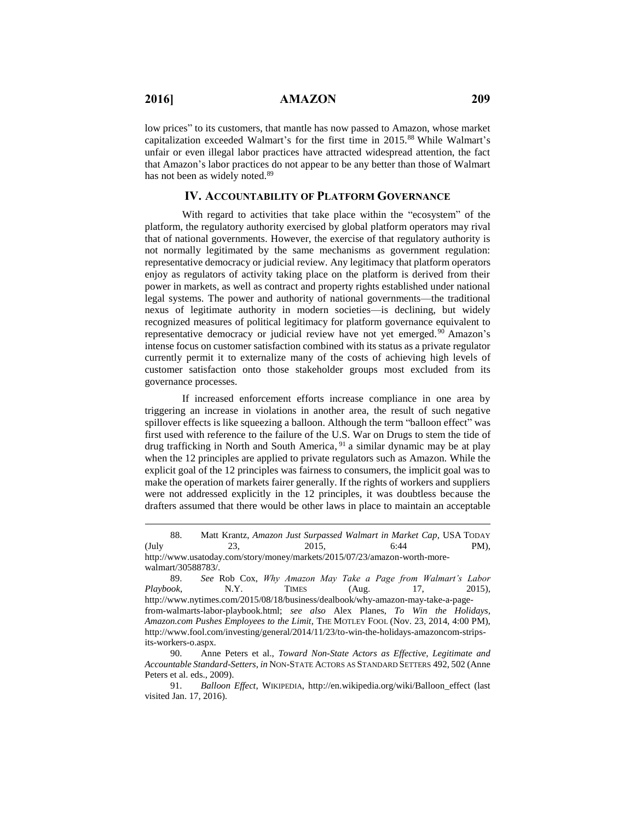$\overline{a}$ 

low prices" to its customers, that mantle has now passed to Amazon, whose market capitalization exceeded Walmart's for the first time in 2015.<sup>88</sup> While Walmart's unfair or even illegal labor practices have attracted widespread attention, the fact that Amazon's labor practices do not appear to be any better than those of Walmart has not been as widely noted.<sup>89</sup>

# **IV. ACCOUNTABILITY OF PLATFORM GOVERNANCE**

With regard to activities that take place within the "ecosystem" of the platform, the regulatory authority exercised by global platform operators may rival that of national governments. However, the exercise of that regulatory authority is not normally legitimated by the same mechanisms as government regulation: representative democracy or judicial review. Any legitimacy that platform operators enjoy as regulators of activity taking place on the platform is derived from their power in markets, as well as contract and property rights established under national legal systems. The power and authority of national governments—the traditional nexus of legitimate authority in modern societies—is declining, but widely recognized measures of political legitimacy for platform governance equivalent to representative democracy or judicial review have not yet emerged. <sup>90</sup> Amazon's intense focus on customer satisfaction combined with its status as a private regulator currently permit it to externalize many of the costs of achieving high levels of customer satisfaction onto those stakeholder groups most excluded from its governance processes.

If increased enforcement efforts increase compliance in one area by triggering an increase in violations in another area, the result of such negative spillover effects is like squeezing a balloon. Although the term "balloon effect" was first used with reference to the failure of the U.S. War on Drugs to stem the tide of drug trafficking in North and South America, <sup>91</sup> a similar dynamic may be at play when the 12 principles are applied to private regulators such as Amazon. While the explicit goal of the 12 principles was fairness to consumers, the implicit goal was to make the operation of markets fairer generally. If the rights of workers and suppliers were not addressed explicitly in the 12 principles, it was doubtless because the drafters assumed that there would be other laws in place to maintain an acceptable

<sup>88.</sup> Matt Krantz, *Amazon Just Surpassed Walmart in Market Cap*, USA TODAY  $(\text{July} \qquad \qquad 23, \qquad \qquad 2015, \qquad \qquad 6:44 \qquad \qquad \text{PM}),$ http://www.usatoday.com/story/money/markets/2015/07/23/amazon-worth-morewalmart/30588783/.

<sup>89.</sup> *See* Rob Cox, *Why Amazon May Take a Page from Walmart's Labor Playbook*, N.Y. TIMES (Aug. 17, 2015), http://www.nytimes.com/2015/08/18/business/dealbook/why-amazon-may-take-a-pagefrom-walmarts-labor-playbook.html; *see also* Alex Planes, *To Win the Holidays, Amazon.com Pushes Employees to the Limit*, THE MOTLEY FOOL (Nov. 23, 2014, 4:00 PM), http://www.fool.com/investing/general/2014/11/23/to-win-the-holidays-amazoncom-stripsits-workers-o.aspx.

<sup>90.</sup> Anne Peters et al., *Toward Non-State Actors as Effective, Legitimate and Accountable Standard-Setters*, *in* NON-STATE ACTORS AS STANDARD SETTERS 492, 502 (Anne Peters et al. eds., 2009).

<sup>91.</sup> *Balloon Effect*, WIKIPEDIA, http://en.wikipedia.org/wiki/Balloon\_effect (last visited Jan. 17, 2016).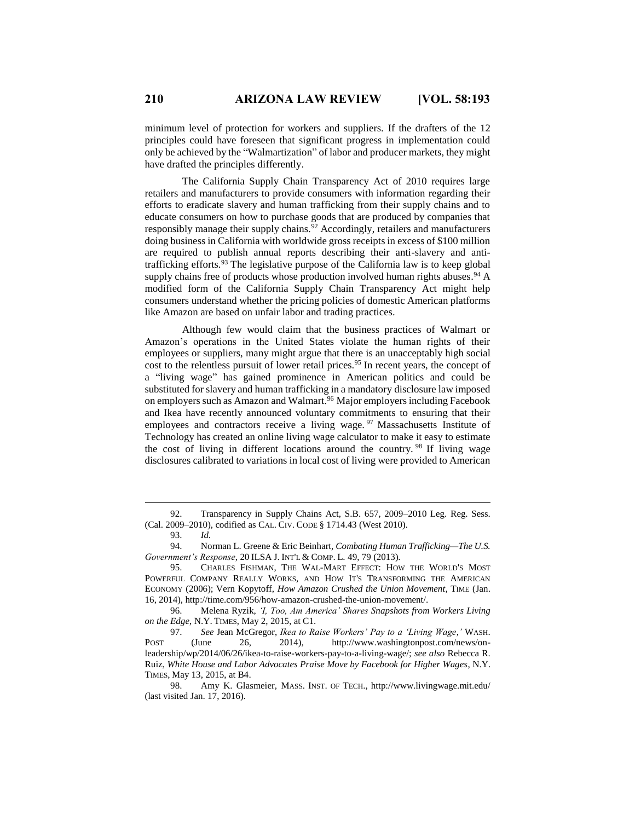minimum level of protection for workers and suppliers. If the drafters of the 12 principles could have foreseen that significant progress in implementation could only be achieved by the "Walmartization" of labor and producer markets, they might have drafted the principles differently.

The California Supply Chain Transparency Act of 2010 requires large retailers and manufacturers to provide consumers with information regarding their efforts to eradicate slavery and human trafficking from their supply chains and to educate consumers on how to purchase goods that are produced by companies that responsibly manage their supply chains. $92$  Accordingly, retailers and manufacturers doing business in California with worldwide gross receipts in excess of \$100 million are required to publish annual reports describing their anti-slavery and antitrafficking efforts.<sup>93</sup> The legislative purpose of the California law is to keep global supply chains free of products whose production involved human rights abuses.<sup>94</sup> A modified form of the California Supply Chain Transparency Act might help consumers understand whether the pricing policies of domestic American platforms like Amazon are based on unfair labor and trading practices.

Although few would claim that the business practices of Walmart or Amazon's operations in the United States violate the human rights of their employees or suppliers, many might argue that there is an unacceptably high social cost to the relentless pursuit of lower retail prices.<sup>95</sup> In recent years, the concept of a "living wage" has gained prominence in American politics and could be substituted for slavery and human trafficking in a mandatory disclosure law imposed on employers such as Amazon and Walmart.<sup>96</sup> Major employers including Facebook and Ikea have recently announced voluntary commitments to ensuring that their employees and contractors receive a living wage.<sup>97</sup> Massachusetts Institute of Technology has created an online living wage calculator to make it easy to estimate the cost of living in different locations around the country. <sup>98</sup> If living wage disclosures calibrated to variations in local cost of living were provided to American

 $\overline{a}$ 

96. Melena Ryzik, *'I, Too, Am America' Shares Snapshots from Workers Living on the Edge*, N.Y. TIMES, May 2, 2015, at C1.

97. *See* Jean McGregor, *Ikea to Raise Workers' Pay to a 'Living Wage*,*'* WASH. POST (June 26, 2014), http://www.washingtonpost.com/news/onleadership/wp/2014/06/26/ikea-to-raise-workers-pay-to-a-living-wage/; *see also* Rebecca R. Ruiz, *White House and Labor Advocates Praise Move by Facebook for Higher Wages*, N.Y. TIMES, May 13, 2015, at B4.

<sup>92.</sup> Transparency in Supply Chains Act, S.B. 657, 2009–2010 Leg. Reg. Sess. (Cal. 2009–2010), codified as CAL. CIV. CODE § 1714.43 (West 2010).

<sup>93.</sup> *Id.*

<sup>94.</sup> Norman L. Greene & Eric Beinhart, *Combating Human Trafficking—The U.S. Government's Response*, 20 ILSA J. INT'L & COMP. L. 49, 79 (2013).

<sup>95.</sup> CHARLES FISHMAN, THE WAL-MART EFFECT: HOW THE WORLD'S MOST POWERFUL COMPANY REALLY WORKS, AND HOW IT'S TRANSFORMING THE AMERICAN ECONOMY (2006); Vern Kopytoff, *How Amazon Crushed the Union Movement*, TIME (Jan. 16, 2014), http://time.com/956/how-amazon-crushed-the-union-movement/.

<sup>98.</sup> Amy K. Glasmeier, MASS. INST. OF TECH., http://www.livingwage.mit.edu/ (last visited Jan. 17, 2016).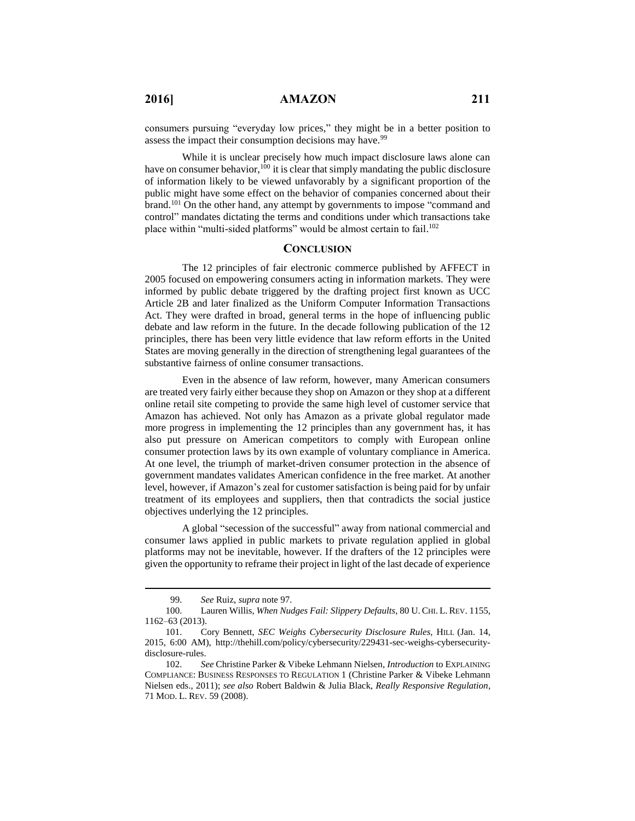consumers pursuing "everyday low prices," they might be in a better position to assess the impact their consumption decisions may have.<sup>99</sup>

While it is unclear precisely how much impact disclosure laws alone can have on consumer behavior,<sup>100</sup> it is clear that simply mandating the public disclosure of information likely to be viewed unfavorably by a significant proportion of the public might have some effect on the behavior of companies concerned about their brand.<sup>101</sup> On the other hand, any attempt by governments to impose "command and control" mandates dictating the terms and conditions under which transactions take place within "multi-sided platforms" would be almost certain to fail.<sup>102</sup>

#### **CONCLUSION**

The 12 principles of fair electronic commerce published by AFFECT in 2005 focused on empowering consumers acting in information markets. They were informed by public debate triggered by the drafting project first known as UCC Article 2B and later finalized as the Uniform Computer Information Transactions Act. They were drafted in broad, general terms in the hope of influencing public debate and law reform in the future. In the decade following publication of the 12 principles, there has been very little evidence that law reform efforts in the United States are moving generally in the direction of strengthening legal guarantees of the substantive fairness of online consumer transactions.

Even in the absence of law reform, however, many American consumers are treated very fairly either because they shop on Amazon or they shop at a different online retail site competing to provide the same high level of customer service that Amazon has achieved. Not only has Amazon as a private global regulator made more progress in implementing the 12 principles than any government has, it has also put pressure on American competitors to comply with European online consumer protection laws by its own example of voluntary compliance in America. At one level, the triumph of market-driven consumer protection in the absence of government mandates validates American confidence in the free market. At another level, however, if Amazon's zeal for customer satisfaction is being paid for by unfair treatment of its employees and suppliers, then that contradicts the social justice objectives underlying the 12 principles.

A global "secession of the successful" away from national commercial and consumer laws applied in public markets to private regulation applied in global platforms may not be inevitable, however. If the drafters of the 12 principles were given the opportunity to reframe their project in light of the last decade of experience

<sup>99.</sup> *See* Ruiz, *supra* note 97.

<sup>100.</sup> Lauren Willis, *When Nudges Fail: Slippery Defaults*, 80 U. CHI. L. REV. 1155, 1162–63 (2013).

<sup>101.</sup> Cory Bennett, *SEC Weighs Cybersecurity Disclosure Rules*, HILL (Jan. 14, 2015, 6:00 AM), http://thehill.com/policy/cybersecurity/229431-sec-weighs-cybersecuritydisclosure-rules.

<sup>102.</sup> *See* Christine Parker & Vibeke Lehmann Nielsen, *Introduction* to EXPLAINING COMPLIANCE: BUSINESS RESPONSES TO REGULATION 1 (Christine Parker & Vibeke Lehmann Nielsen eds., 2011); *see also* Robert Baldwin & Julia Black, *Really Responsive Regulation*, 71 MOD. L. REV. 59 (2008).